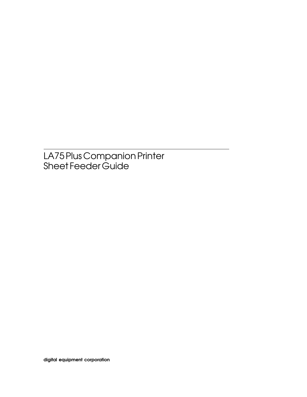LA75 Plus Companion Printer Sheet Feeder Guide

digital equipment corporation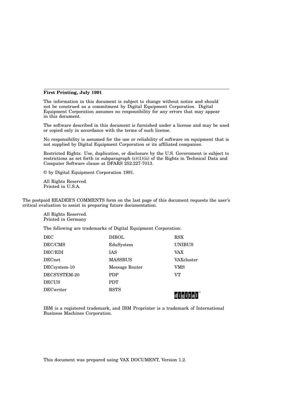#### **First Printing, July 1991**

The information in this document is subject to change without notice and should not be construed as a commitment by Digital Equipment Corporation. Digital Equipment Corporation assumes no responsibility for any errors that may appear in this document.

The software described in this document is furnished under a license and may be used or copied only in accordance with the terms of such license.

No responsibility is assumed for the use or reliability of software on equipment that is not supplied by Digital Equipment Corporation or its affiliated companies.

Restricted Rights: Use, duplication, or disclosure by the U.S. Government is subject to restrictions as set forth in subparagraph  $(c)(1)(ii)$  of the Rights in Technical Data and Computer Software clause at DFARS 252.227-7013.

© by Digital Equipment Corporation 1991.

All Rights Reserved. Printed in U.S.A.

The postpaid READER'S COMMENTS form on the last page of this document requests the user's critical evaluation to assist in preparing future documentation.

All Rights Reserved. Printed in Germany

The following are trademarks of Digital Equipment Corporation:

| DEC              | <b>DIBOL</b>   | <b>RSX</b>    |
|------------------|----------------|---------------|
| DEC/CMS          | EduSystem      | <b>UNIBUS</b> |
| DEC/EDI          | IAS            | VAX           |
| <b>DECnet</b>    | <b>MASSBUS</b> | VAXcluster    |
| DECsystem-10     | Message Router | VMS           |
| DECSYSTEM-20     | <b>PDP</b>     | VT            |
| <b>DECUS</b>     | <b>PDT</b>     |               |
| <b>DECwriter</b> | <b>RSTS</b>    |               |
|                  |                |               |

IBM is a registered trademark, and IBM Proprinter is a trademark of International Business Machines Corporation.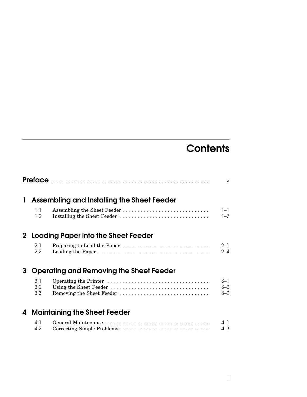# **Contents**

|   |                   |                                                            | $\vee$                        |
|---|-------------------|------------------------------------------------------------|-------------------------------|
|   |                   | Assembling and Installing the Sheet Feeder                 |                               |
|   | 1.1<br>1.2        | Assembling the Sheet Feeder<br>Installing the Sheet Feeder | $1 - 1$<br>$1 - 7$            |
|   |                   | 2 Loading Paper into the Sheet Feeder                      |                               |
|   | 2.1<br>2.2        | Preparing to Load the Paper                                | $2 - 1$<br>$2 - 4$            |
| 3 |                   | <b>Operating and Removing the Sheet Feeder</b>             |                               |
|   | 3.1<br>3.2<br>3.3 |                                                            | $3 - 1$<br>$3 - 2$<br>$3 - 2$ |
| 4 |                   | <b>Maintaining the Sheet Feeder</b>                        |                               |
|   | 4.1<br>4.2        | Correcting Simple Problems                                 | $4 - 1$<br>$4 - 3$            |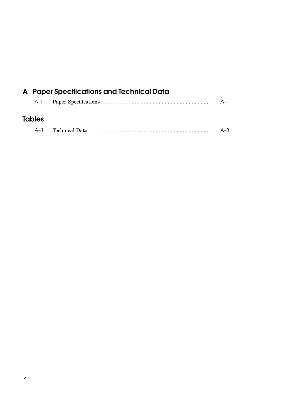| A Paper Specifications and Technical Data |  |       |  |
|-------------------------------------------|--|-------|--|
| A. I                                      |  | $A-1$ |  |
| <b>Tables</b>                             |  |       |  |
| $A-1$                                     |  |       |  |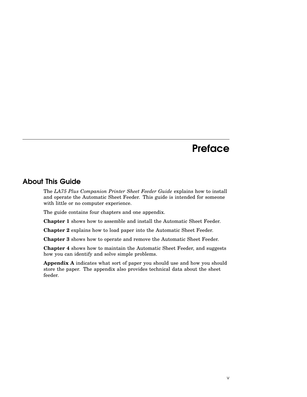# **Preface**

## About This Guide

The *LA75 Plus Companion Printer Sheet Feeder Guide* explains how to install and operate the Automatic Sheet Feeder. This guide is intended for someone with little or no computer experience.

The guide contains four chapters and one appendix.

**Chapter 1** shows how to assemble and install the Automatic Sheet Feeder.

**Chapter 2** explains how to load paper into the Automatic Sheet Feeder.

**Chapter 3** shows how to operate and remove the Automatic Sheet Feeder.

**Chapter 4** shows how to maintain the Automatic Sheet Feeder, and suggests how you can identify and solve simple problems.

**Appendix A** indicates what sort of paper you should use and how you should store the paper. The appendix also provides technical data about the sheet feeder.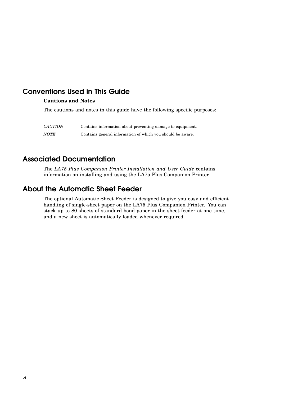# Conventions Used in This Guide

### **Cautions and Notes**

The cautions and notes in this guide have the following specific purposes:

*CAUTION* Contains information about preventing damage to equipment. *NOTE* Contains general information of which you should be aware.

## Associated Documentation

The *LA75 Plus Companion Printer Installation and User Guide* contains information on installing and using the LA75 Plus Companion Printer.

## About the Automatic Sheet Feeder

The optional Automatic Sheet Feeder is designed to give you easy and efficient handling of single-sheet paper on the LA75 Plus Companion Printer. You can stack up to 80 sheets of standard bond paper in the sheet feeder at one time, and a new sheet is automatically loaded whenever required.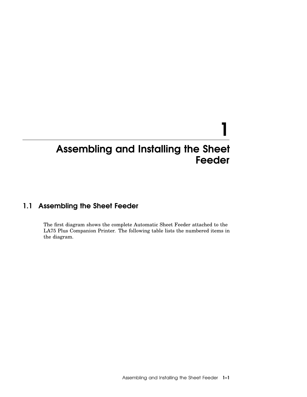# Assembling and Installing the Sheet Feeder

1

# 1.1 Assembling the Sheet Feeder

The first diagram shows the complete Automatic Sheet Feeder attached to the LA75 Plus Companion Printer. The following table lists the numbered items in the diagram.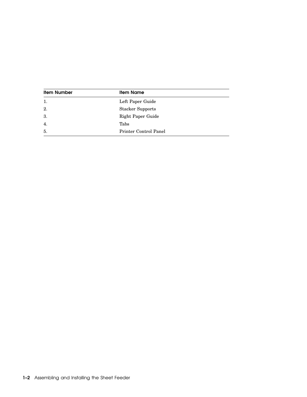| <b>Item Number</b> | <b>Item Name</b>        |  |
|--------------------|-------------------------|--|
| 1.                 | Left Paper Guide        |  |
| 2.                 | <b>Stacker Supports</b> |  |
| 3.                 | Right Paper Guide       |  |
| 4.                 | Tabs                    |  |
| 5.                 | Printer Control Panel   |  |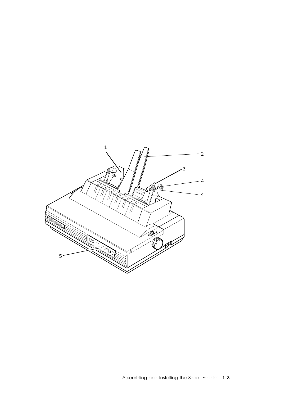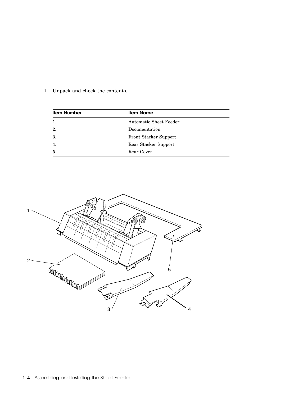1 Unpack and check the contents.

| <b>Item Number</b> | <b>Item Name</b>              |
|--------------------|-------------------------------|
| 1.                 | <b>Automatic Sheet Feeder</b> |
| 2.                 | Documentation                 |
| 3.                 | Front Stacker Support         |
| 4.                 | Rear Stacker Support          |
| 5.                 | Rear Cover                    |

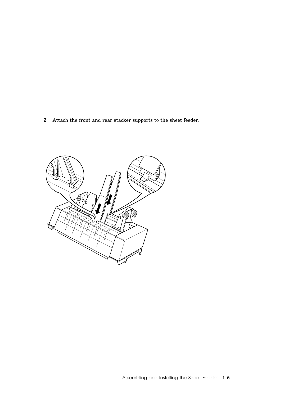2 Attach the front and rear stacker supports to the sheet feeder.

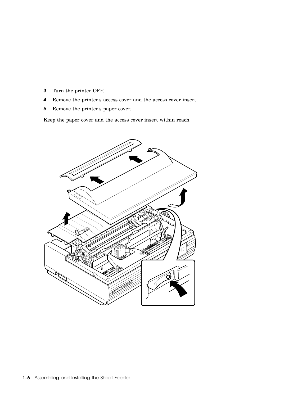- 3 Turn the printer OFF.
- 4 Remove the printer's access cover and the access cover insert.
- 5 Remove the printer's paper cover.

Keep the paper cover and the access cover insert within reach.

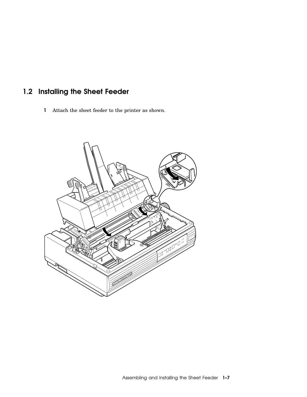# 1.2 Installing the Sheet Feeder

1 Attach the sheet feeder to the printer as shown.

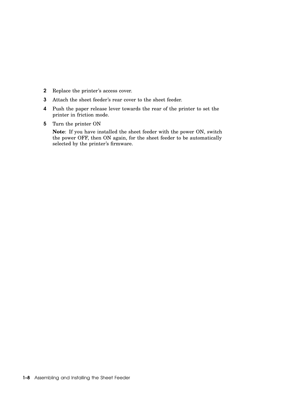- 2 Replace the printer's access cover.
- 3 Attach the sheet feeder's rear cover to the sheet feeder.
- 4 Push the paper release lever towards the rear of the printer to set the printer in friction mode.
- 5 Turn the printer ON

**Note**: If you have installed the sheet feeder with the power ON, switch the power OFF, then ON again, for the sheet feeder to be automatically selected by the printer's firmware.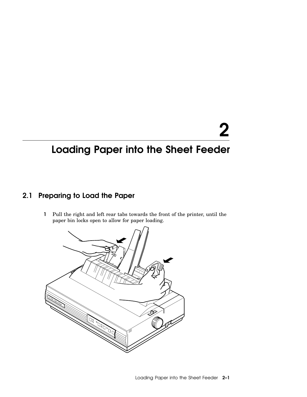# 2

# Loading Paper into the Sheet Feeder

# 2.1 Preparing to Load the Paper

1 Pull the right and left rear tabs towards the front of the printer, until the paper bin locks open to allow for paper loading.

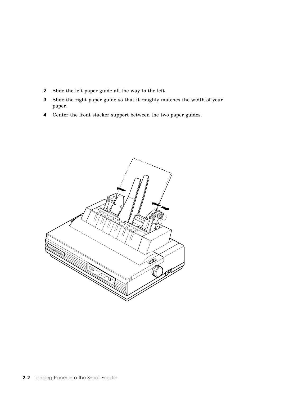- 2 Slide the left paper guide all the way to the left.
- 3 Slide the right paper guide so that it roughly matches the width of your paper.
- 4 Center the front stacker support between the two paper guides.

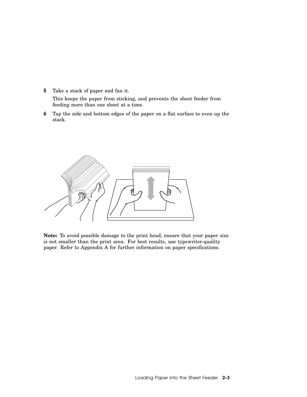- 5 Take a stack of paper and fan it. This keeps the paper from sticking, and prevents the sheet feeder from feeding more than one sheet at a time.
- 6 Tap the side and bottom edges of the paper on a flat surface to even up the stack.



**Note:** To avoid possible damage to the print head, ensure that your paper size is not smaller than the print area. For best results, use typewriter-quality paper. Refer to Appendix A for further information on paper specifications.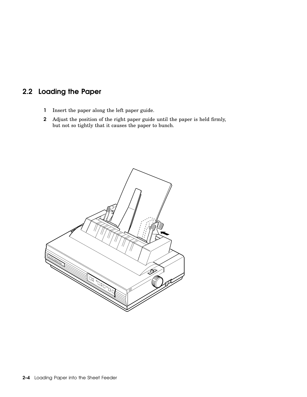# 2.2 Loading the Paper

- 1 Insert the paper along the left paper guide.
- 2 Adjust the position of the right paper guide until the paper is held firmly, but not so tightly that it causes the paper to bunch.

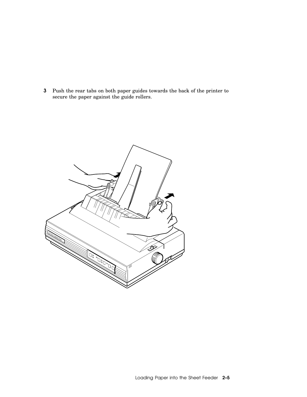3 Push the rear tabs on both paper guides towards the back of the printer to secure the paper against the guide rollers.

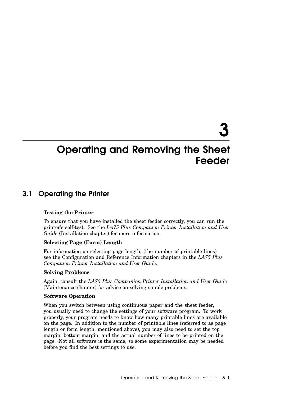# 3

# Operating and Removing the Sheet Feeder

## 3.1 Operating the Printer

### **Testing the Printer**

To ensure that you have installed the sheet feeder correctly, you can run the printer's self-test. See the *LA75 Plus Companion Printer Installation and User Guide* (Installation chapter) for more information.

### **Selecting Page (Form) Length**

For information on selecting page length, (the number of printable lines) see the Configuration and Reference Information chapters in the *LA75 Plus Companion Printer Installation and User Guide*.

### **Solving Problems**

Again, consult the *LA75 Plus Companion Printer Installation and User Guide* (Maintenance chapter) for advice on solving simple problems.

### **Software Operation**

When you switch between using continuous paper and the sheet feeder, you usually need to change the settings of your software program. To work properly, your program needs to know how many printable lines are available on the page. In addition to the number of printable lines (referred to as page length or form length, mentioned above), you may also need to set the top margin, bottom margin, and the actual number of lines to be printed on the page. Not all software is the same, so some experimentation may be needed before you find the best settings to use.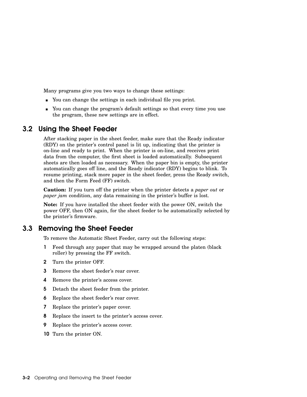Many programs give you two ways to change these settings:

- You can change the settings in each individual file you print.
- You can change the program's default settings so that every time you use the program, these new settings are in effect.

## 3.2 Using the Sheet Feeder

After stacking paper in the sheet feeder, make sure that the Ready indicator (RDY) on the printer's control panel is lit up, indicating that the printer is on-line and ready to print. When the printer is on-line, and receives print data from the computer, the first sheet is loaded automatically. Subsequent sheets are then loaded as necessary. When the paper bin is empty, the printer automatically goes off line, and the Ready indicator (RDY) begins to blink. To resume printing, stack more paper in the sheet feeder, press the Ready switch, and then the Form Feed (FF) switch.

**Caution:** If you turn off the printer when the printer detects a *paper out* or *paper jam* condition, any data remaining in the printer's buffer is lost.

**Note:** If you have installed the sheet feeder with the power ON, switch the power OFF, then ON again, for the sheet feeder to be automatically selected by the printer's firmware.

## 3.3 Removing the Sheet Feeder

To remove the Automatic Sheet Feeder, carry out the following steps:

- 1 Feed through any paper that may be wrapped around the platen (black roller) by pressing the FF switch.
- 2 Turn the printer OFF.
- 3 Remove the sheet feeder's rear cover.
- 4 Remove the printer's access cover.
- 5 Detach the sheet feeder from the printer.
- 6 Replace the sheet feeder's rear cover.
- 7 Replace the printer's paper cover.
- 8 Replace the insert to the printer's access cover.
- 9 Replace the printer's access cover.
- 10 Turn the printer ON.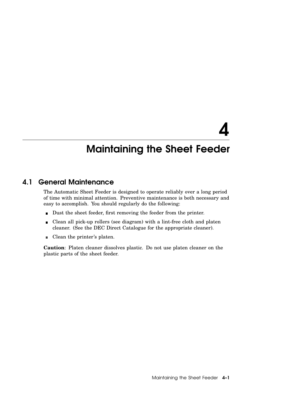# 4

# Maintaining the Sheet Feeder

## 4.1 General Maintenance

The Automatic Sheet Feeder is designed to operate reliably over a long period of time with minimal attention. Preventive maintenance is both necessary and easy to accomplish. You should regularly do the following:

- Dust the sheet feeder, first removing the feeder from the printer.
- Clean all pick-up rollers (see diagram) with a lint-free cloth and platen  $\blacksquare$ cleaner. (See the DEC Direct Catalogue for the appropriate cleaner).
- Clean the printer's platen.  $\blacksquare$

**Caution**: Platen cleaner dissolves plastic. Do not use platen cleaner on the plastic parts of the sheet feeder.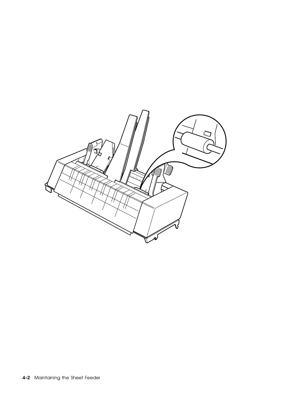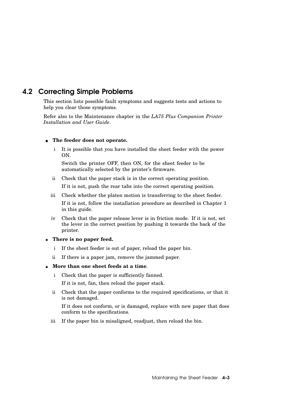# 4.2 Correcting Simple Problems

This section lists possible fault symptoms and suggests tests and actions to help you clear those symptoms.

Refer also to the Maintenance chapter in the *LA75 Plus Companion Printer Installation and User Guide*.

### **The feeder does not operate.**

i It is possible that you have installed the sheet feeder with the power ON.

Switch the printer OFF, then ON, for the sheet feeder to be automatically selected by the printer's firmware.

ii Check that the paper stack is in the correct operating position.

If it is not, push the rear tabs into the correct operating position.

iii Check whether the platen motion is transferring to the sheet feeder.

If it is not, follow the installation procedure as described in Chapter 1 in this guide.

- iv Check that the paper release lever is in friction mode. If it is not, set the lever in the correct position by pushing it towards the back of the printer.
- **There is no paper feed.**
	- i If the sheet feeder is out of paper, reload the paper bin.
	- ii If there is a paper jam, remove the jammed paper.
- **More than one sheet feeds at a time**.
	- i Check that the paper is sufficiently fanned.

If it is not, fan, then reload the paper stack.

ii Check that the paper conforms to the required specifications, or that it is not damaged.

If it does not conform, or is damaged, replace with new paper that does conform to the specifications.

iii If the paper bin is misaligned, readjust, then reload the bin.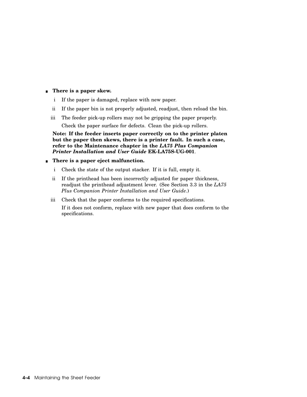#### **There is a paper skew.**

- i If the paper is damaged, replace with new paper.
- ii If the paper bin is not properly adjusted, readjust, then reload the bin.
- iii The feeder pick-up rollers may not be gripping the paper properly. Check the paper surface for defects. Clean the pick-up rollers.

**Note: If the feeder inserts paper correctly on to the printer platen but the paper then skews, there is a printer fault. In such a case, refer to the Maintenance chapter in the** *LA75 Plus Companion Printer Installation and User Guide* **EK-LA75S-UG-001**.

#### **There is a paper eject malfunction.**

- i Check the state of the output stacker. If it is full, empty it.
- ii If the printhead has been incorrectly adjusted for paper thickness, readjust the printhead adjustment lever. (See Section 3.3 in the *LA75 Plus Companion Printer Installation and User Guide*.)
- iii Check that the paper conforms to the required specifications.

If it does not conform, replace with new paper that does conform to the specifications.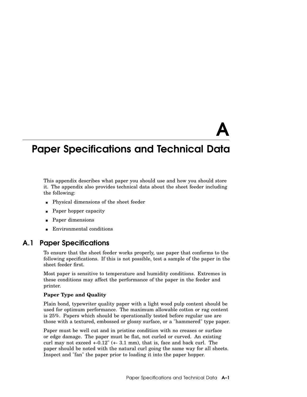# A

# Paper Specifications and Technical Data

This appendix describes what paper you should use and how you should store it. The appendix also provides technical data about the sheet feeder including the following:

- Physical dimensions of the sheet feeder  $\blacksquare$
- Paper hopper capacity  $\blacksquare$
- Paper dimensions  $\blacksquare$
- Environmental conditions

## A.1 Paper Specifications

To ensure that the sheet feeder works properly, use paper that conforms to the following specifications. If this is not possible, test a sample of the paper in the sheet feeder first.

Most paper is sensitive to temperature and humidity conditions. Extremes in these conditions may affect the performance of the paper in the feeder and printer.

#### **Paper Type and Quality**

Plain bond, typewriter quality paper with a light wood pulp content should be used for optimum performance. The maximum allowable cotton or rag content is 25%. Papers which should be operationally tested before regular use are those with a textured, embossed or glossy surface, or a "hammered" type paper.

Paper must be well cut and in pristine condition with no creases or surface or edge damage. The paper must be flat, not curled or curved. An existing curl may not exceed  $+0.12$ " ( $+3.1$  mm), that is, face and back curl. The paper should be noted with the natural curl going the same way for all sheets. Inspect and "fan" the paper prior to loading it into the paper hopper.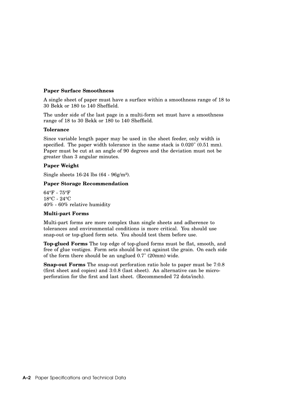#### **Paper Surface Smoothness**

A single sheet of paper must have a surface within a smoothness range of 18 to 30 Bekk or 180 to 140 Sheffield.

The under side of the last page in a multi-form set must have a smoothness range of 18 to 30 Bekk or 180 to 140 Sheffield.

#### **Tolerance**

Since variable length paper may be used in the sheet feeder, only width is specified. The paper width tolerance in the same stack is 0.020" (0.51 mm). Paper must be cut at an angle of 90 degrees and the deviation must not be greater than 3 angular minutes.

### **Paper Weight**

Single sheets 16-24 lbs (64 - 96g/m²).

#### **Paper Storage Recommendation**

64°F - 75°F 18°C - 24°C 40% - 60% relative humidity

### **Multi-part Forms**

Multi-part forms are more complex than single sheets and adherence to tolerances and environmental conditions is more critical. You should use snap-out or top-glued form sets. You should test them before use.

**Top-glued Forms** The top edge of top-glued forms must be flat, smooth, and free of glue vestiges. Form sets should be cut against the grain. On each side of the form there should be an unglued 0.7" (20mm) wide.

**Snap-out Forms** The snap-out perforation ratio hole to paper must be 7:0.8 (first sheet and copies) and 3:0.8 (last sheet). An alternative can be microperforation for the first and last sheet. (Recommended 72 dots/inch).